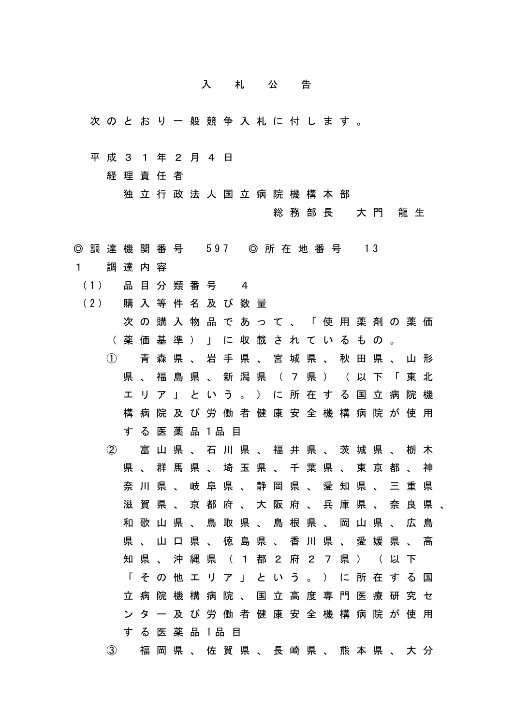## 入札公告

- 次のとおり一般競争入札に付します。
- 平成31年2月4日

経理責任者

独立行政法人国立病院機構本部

総務部長 大門 龍生

- ◎ 調 達 機 関 番 号 597 ◎ 所 在 地 番 号 13
- 1 調達内容
- (1) 品 目 分 類 番 号 4
- (2) 購 入 等 件 名 及 び 数 量
	- 次の購入物品であって、「使用薬剤の薬価 (薬価基準)」に収載されているもの。 ① 青森県、岩手県、宮城県、秋田県、山形 県、福島県、新潟県(7県)(以下「東北 エリア」という。)に所在する国立病院機
	- 構病院及び労働者健康安全機構病院が使用 す る 医 薬 品 1品 目
	- ② 富山県、石川県、福井県、茨城県、栃木 県、群馬県、埼玉県、千葉県、東京都、神 奈川県、岐阜県、静岡県、愛知県、三重県 滋賀県、京都府、大阪府、兵庫県、奈良県、 和歌山県、鳥取県、島根県、岡山県、広島 県、山口県、徳島県、香川県、愛媛県、高 知県、沖縄県(1都2府27県)(以下 「その他エリア」という。)に所在する国 立病院機構病院、国立高度専門医療研究セ ンター及び労働者健康安全機構病院が使用 す る 医 薬 品 1品 目
	- ③ 福岡県、佐賀県、長崎県、熊本県、大分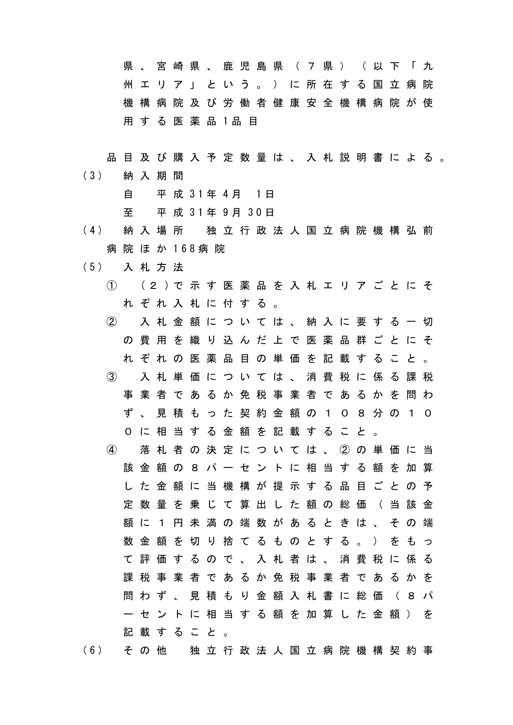県 、宮崎県、鹿児島県(7県)(以下「九 州エリア」という。)に所在する国立病院 機構病院及び労働者健康安全機構病院が使 用 す る 医 薬 品 1品 目

品目及び購入予定数量は、入札説明書による。 (3) 納 入 期 間 自 平 成 31年 4月 1日

至 平 成 31年 9月 30日

- (4) 納 入 場 所 独 立 行 政 法 人 国 立 病 院 機 構 弘 前 病 院 ほ か 168病 院
- (5) 入 札 方 法
	- ① (2 )で 示 す 医 薬 品 を 入 札 エ リ ア ご と に そ れぞれ入札に付する。
	- ② 入札金額については、納入に要する一切 の費用を織り込んだ上で医薬品群ごとにそ れぞれの医薬品目の単価を記載すること。 ③ 入札単価については、消費税に係る課税
	- 事業者であるか免税事業者であるかを問わ ず、見積もった契約金額の108分の10 0に相当する金額を記載すること。
	- ④ 落札者の決定については、②の単価に当 該金額の8パーセントに相当する額を加算 した金額に当機構が提示する品目ごとの予 定数量を乗じて算出した額の総価(当該金 額に1円未満の端数があるときは、その端 数金額を切り捨てるものとする。)をもっ て評価するので、入札者は、消費税に係る 課税事業者であるか免税事業者であるかを 問わず、見積もり金額入札書に総価(8パ ーセントに相当する額を加算した金額)を 記載すること。
- (6) そ の 他 独 立 行 政 法 人 国 立 病 院 機 構 契 約 事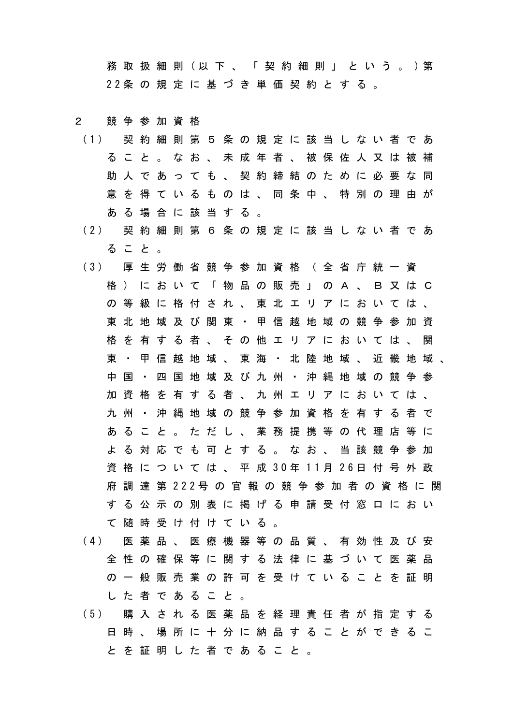務 取 扱 細 則 (以 下 、 「 契 約 細 則 」 と い う 。 )第 22条 の 規 定 に 基 づ き 単 価 契 約 と す る 。

## 2 競争参加資格

- (1) 契 約 細 則 第 5 条 の 規 定 に 該 当 し な い 者 で あ ること。なお、未成年者、被保佐人又は被補 助 人 で あ っ て も 、 契 約 締 結 の た め に 必 要 な 同 意を得ているものは、同条中、特別の理由が ある場合に該当する。
- (2) 契 約 細 則 第 6 条 の 規 定 に 該 当 し な い 者 で あ ること。
- (3) 厚 生 労 働 省 競 争 参 加 資 格 ( 全 省 庁 統 一 資 格)において「物品の販売」のA、B又はC の等級に格付され、東北エリアにおいては、 東北地域及び関東・甲信越地域の競争参加資 格を有する者、その他エリアにおいては、関 東・甲信越地域、東海・北陸地域、近畿地域、 中国・四国地域及び九州・沖縄地域の競争参 加資格を有する者、九州エリアにおいては、 九州・沖縄地域の競争参加資格を有する者で あること。ただし、業務提携等の代理店等に よる対応でも可とする。なお、当該競争参加 資 格 に つ い て は 、 平 成 30年 11月 26日 付 号 外 政 府 調 達 第 222号 の 官 報 の 競 争 参 加 者 の 資 格 に 関 する公示の別表に掲げる申請受付窓口におい て随時受け付けている。
- (4) 医 薬 品 、 医 療 機 器 等 の 品 質 、 有 効 性 及 び 安 全性の確保等に関する法律に基づいて医薬品 の一般販売業の許可を受けていることを証明 した者であること。
- (5) 購 入 さ れ る 医 薬 品 を 経 理 責 任 者 が 指 定 す る 日時、場所に十分に納品することができるこ とを証明した者であること。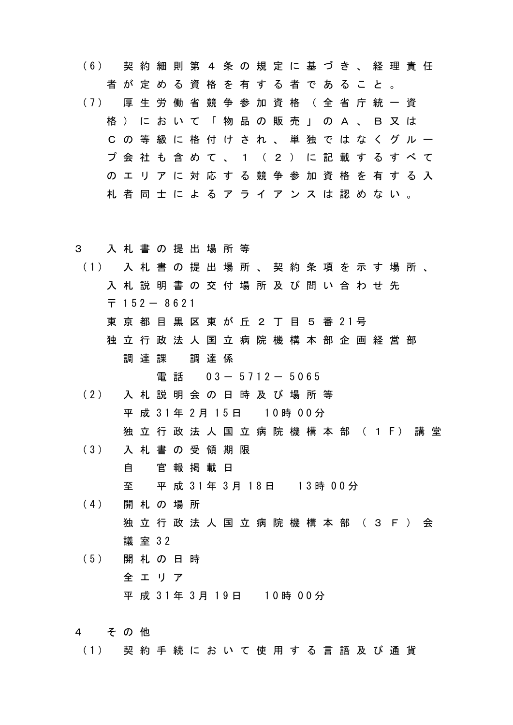- (6) 契 約 細 則 第 4 条 の 規 定 に 基 づ き 、 経 理 責 任 者が定める資格を有する者であること。 (7) 厚 生 労 働 省 競 争 参 加 資 格 ( 全 省 庁 統 一 資 格)において「物品の販売」のA、B又は Cの等級に格付けされ、単独ではなくグルー プ会社も含めて、1(2)に記載するすべて のエリアに対応する競争参加資格を有する入 札者同士によるアライアンスは認めない。
- 3 入札書の提出場所等
- (1) 入 札 書 の 提 出 場 所 、 契 約 条 項 を 示 す 場 所 、 入札説明書の交付場所及び問い合わせ先  $\overline{7}$  152 - 8621 東 京 都 目 黒 区 東 が 丘 2 丁 目 5 番 21号 独立行政法人国立病院機構本部企画経営部 調達課 調達係

雷話 03- 5712- 5065

- (2) 入 札 説 明 会 の 日 時 及 び 場 所 等 平 成 31年 2月 15日 10時 00分 独 立 行 政 法 人 国 立 病 院 機 構 本 部 ( 1 F ) 講 堂
- (3) 入 札 書 の 受 領 期 限 自 官報掲載日 至 平 成 31年 3月 18日 13時 00分
- (4) 開 札 の 場 所 独立行政法人国立病院機構本部(3F)会 議 室 32
- (5) 開 札 の 日 時 全エリア 平 成 31年 3月 19日 10時 00分
- 4 その他
- (1) 契 約 手 続 に お い て 使 用 す る 言 語 及 び 通 貨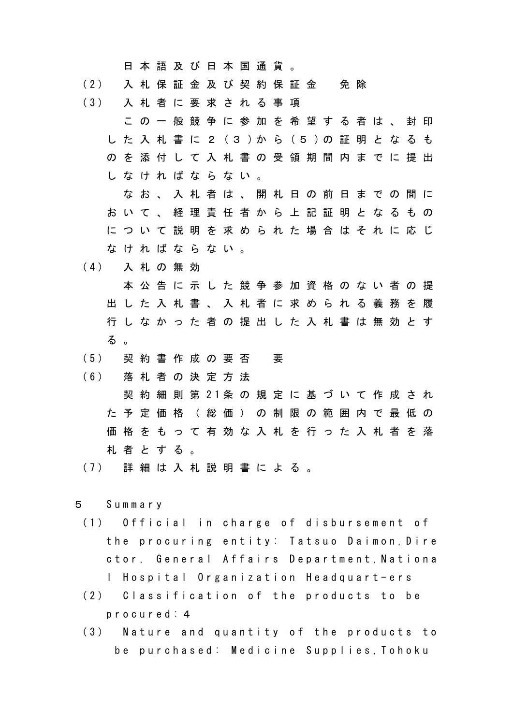日本語及び日本国通貨。

- (2) 入 札 保 証 金 及 び 契 約 保 証 金 免 除
- (3) 入 札 者 に 要 求 さ れ る 事 項
	- この一般競争に参加を希望する者は、封印 し た 入 札 書 に 2 (3 )か ら (5 )の 証 明 と な る も のを添付して入札書の受領期間内までに提出 しなければならない。
	- なお、入札者は、開札日の前日までの間に おいて、経理責任者から上記証明となるもの について説明を求められた場合はそれに応じ なければならない。
- (4) 入 札 の 無 効
	- 本公告に示した競争参加資格のない者の提 出した入札書、入札者に求められる義務を履 行しなかった者の提出した入札書は無効とす る 。
- (5) 契 約 書 作 成 の 要 否 要
- (6) 落 札 者 の 決 定 方 法
- 契 約 細 則 第 21条 の 規 定 に 基 づ い て 作 成 さ れ た予定価格(総価)の制限の範囲内で最低の 価格をもって有効な入札を行った入札者を落 札者とする。
- (7) 詳 細 は 入 札 説 明 書 に よ る 。
- 5 Summary
	- (1) Official in charge of disbursement of the procuring entity: Tatsuo Daimon,Dire ctor, General Affairs Department,Nationa l Hospital Organization Headquart-ers
	- (2) Classification of the products to be procured:4
	- (3) Nature and quantity of the products to be purchased: Medicine Supplies,Tohoku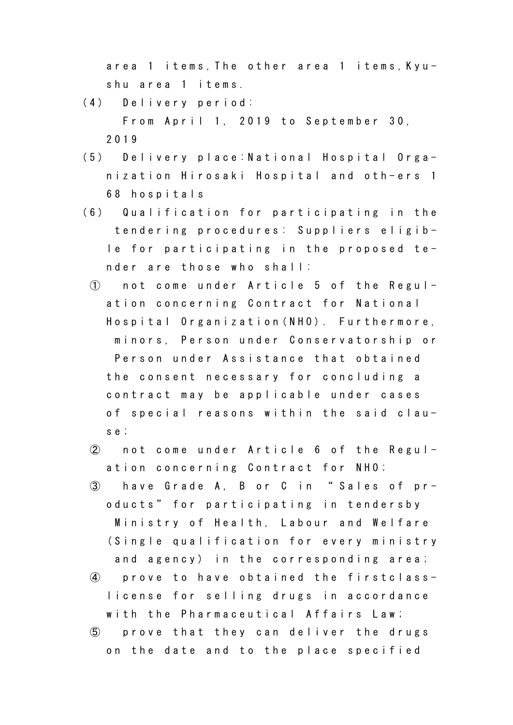area 1 items,The other area 1 items,Kyushu area 1 items.

- (4) Delivery period: From April 1, 2019 to September 30, 2019
- (5) Delivery place:National Hospital Organization Hirosaki Hospital and oth-ers 1 68 hospitals
- (6) Qualification for participating in the tendering procedures: Suppliers eligible for participating in the proposed tender are those who shall:
	- ① not come under Article 5 of the Regulation concerning Contract for National Hospital Organization(NHO). Furthermore, minors, Person under Conservatorship or Person under Assistance that obtained the consent necessary for concluding a contract may be applicable under cases of special reasons within the said clause;
	- ② not come under Article 6 of the Regulation concerning Contract for NHO;
	- ③ have Grade A, B or C in " Sales of products" for participating in tendersby Ministry of Health, Labour and Welfare (Single qualification for every ministry and agency) in the corresponding area;
	- ④ prove to have obtained the firstclasslicense for selling drugs in accordance with the Pharmaceutical Affairs Law;
	- ⑤ prove that they can deliver the drugs on the date and to the place specified